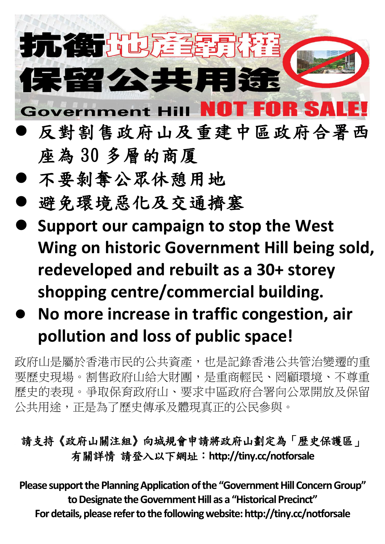## 抗衡地难望 **呆留公共用涂 Government Hill** RSA E

- 反對割售政府山及重建中區政府合署西 座為 30 多層的商厦
- 不要剝奪公眾休憩用地
- 避免環境惡化及交通擠塞
- **Support our campaign to stop the West Wing on historic Government Hill being sold, redeveloped and rebuilt as a 30+ storey shopping centre/commercial building.**
- **No more increase in traffic congestion, air pollution and loss of public space!**

政府山是屬於香港市民的公共資產,也是記錄香港公共管治變遷的重 要歷史現場。割售政府山給大財團,是重商輕民、罔顧環境、不尊重 歷史的表現。爭取保育政府山、要求中區政府合署向公眾開放及保留 公共用途,正是為了歷史傳承及體現真正的公民參與。

## 請支持《政府山關注組》向城規會申請將政府山劃定為「歴史保護區」 有關詳情 請登入以下網址:**<http://tiny.cc/notforsale>**

**Please support the Planning Application of the "Government Hill Concern Group" to Designate the Government Hill as a "Historical Precinct" For details, please refer to the following website:<http://tiny.cc/notforsale>**